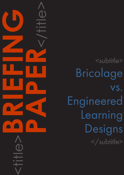<subtitle> Bricolage vs. Engineered Learning Designs </subtitle>

<title>**BRIEFING**

**PAPER**<br>CONSTRAINS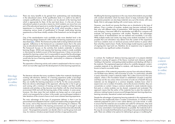### CAPDM Ltd. CAPDM Ltd.

Introduction There are many benefits to be gained from systematising and standardising in the educational arena. At the qualification level, it is useful to be able to compare qualifications so that students can be placed at the learning level which is appropriate for them. At the next level down, it is the aim of many educational systems to provide a means by which students can move from one part of the educational spectrum to another through recognition of their learning experiences in a framework (such as the [SCQF](http://www.scqf.org.uk/) which provides a means of comparing various levels of qualification) or through credit-rating learning experiences so that those initially outside of the framework can be brought into it.

> One of the standardisation tools available at the more detailed level is the IMS learning design framework within which all learning experiences can be described [\(IMS](http://www.imsglobal.org/learningdesign/), 2003). This framework prides itself on being method and mode agnostic. Adherence to the framework as a standard means that in the same way as educational awards can be transferable, so can learning experiences. The framework focuses on the activities that students undertake to achieve learning (Koper, 2006) and assumes that learning content is made available or discovered by students as part of the learning process. It does not provide a standard for learning content, but it is reasonable to assume that the advantages of a standards framework, consistent quality and recognition, and transferability, would also be true of learning materials - particularly in a distance or blended learning context.

**Engineered** contentcomplete approach to online delivery

This separation of learning activity and content is emphasised in the two ways in which we most often approach the development of online learning experiences.

The literature indicates that many academics (rather than materials developers) working with electronic delivery of a learning experience prefer a bricolage approach (also called a morphing approach) (Berggren et al, 2005) where they can modify the learning experience on the fly. For the course presenter, there are obvious advantages to this approach, allowing him or her to get up and running with a minimum of training and time invested, and then modify materials and activities as they become more familiar with the virtual learning environment (VLE) and with the learning styles of their students. In some sense, however, this does mean that real students are being used as a test ground which is not necessarily fair on them. In this model, one would expect students in later iterations of the course to have a much more coherent learning experience.

The main advantage of this type of programme delivery is that it can be personalised and adapted to learner's styles and needs as they progress through the course, and as they become more familiar with learning at a distance. The functional tools available in the learning environment can be brought in and used as students need them, or as a particular approach becomes educationally sound – the programme presenter can decide when to use the group tools and may, for instance, introduce project-based activities at appropriate points.

Modifying the learning experience in this way means that students are provided with constant stimulation which has been shown to keep motivation high. The programme presenter can also keep materials very up to the minute, with news feeds, links to web pages dealing with current issues, and so on.

However, one should not assume that there are no drawbacks to this type of delivery. Over a number of modules, students may become confused or lose their way with different styles of presentation. With learning materials shifting and changing, it becomes difficult to standardise and difficult to compare and evaluate one learning experience with another. Therefore, the advantages noted above of standardisation are not realised and reusability is not easy. While multiple media and variety may keep some students motivated, it is also possible that over-stimulation may detract from the content of the experience and focus students more on technical process (which buttons to press) rather than what they need to learn. Finally, the bricolage model requires a great deal of ongoing tutor input and can, therefore, be an expensive way to approach eLearning for any significant number of students.

In contrast, the 'traditional' distance learning approach is to prepare detailed materials covering all aspects of the theory involved and wherever possible 'building in the teacher', anticipating student problems and dealing with them in the materials. This engineered approach allows for carefully designed, contentcomplete materials to be delivered to students, with features built in that are known to lead to successful study.

The separation of the materials preparation process from educational delivery, can facilitate mass delivery with economies of scale. It is particularly valuable in areas where the content is relatively stable. This is often most true for first-year subjects, where a firm foundation based on established concepts is required, and these are the very areas where economies of scale are of benefit. Because materials can be designed to a common template, students know what to expect even over a number of modules, and as the structure is familiar, they can concentrate on content. Using a common standard to create materials means that parts or whole modules can be shared, compared and evaluated. This approach means that the author of the materials has to plan the materials in advance, making it easier to ensure sound linkages between learning objectives, learning outcomes, theoretical content and assessment.

Despite the advantages of preparing learning materials in this engineered way, there have also traditionally been a number of drawbacks. It is harder to keep materials prepared for print or even online delivery up to the minute. In order to ensure that the materials are accessible and useful for all learners, they tend to be aimed at the individual learner who has little support, and therefore build in as many automated or text-based features as possible. But materials built in this way do not easily lend themselves to providing a truly personalised learning path. There are unlikely to be options for delivering to groups or modifying the

Bricolage approach to online delivery